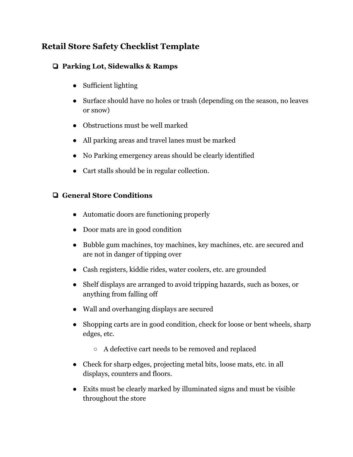# **Retail Store Safety Checklist Template**

## ❏ **Parking Lot, Sidewalks & Ramps**

- Sufficient lighting
- Surface should have no holes or trash (depending on the season, no leaves or snow)
- Obstructions must be well marked
- All parking areas and travel lanes must be marked
- No Parking emergency areas should be clearly identified
- Cart stalls should be in regular collection.

### ❏ **General Store Conditions**

- Automatic doors are functioning properly
- Door mats are in good condition
- Bubble gum machines, toy machines, key machines, etc. are secured and are not in danger of tipping over
- Cash registers, kiddie rides, water coolers, etc. are grounded
- Shelf displays are arranged to avoid tripping hazards, such as boxes, or anything from falling off
- Wall and overhanging displays are secured
- Shopping carts are in good condition, check for loose or bent wheels, sharp edges, etc.
	- A defective cart needs to be removed and replaced
- Check for sharp edges, projecting metal bits, loose mats, etc. in all displays, counters and floors.
- Exits must be clearly marked by illuminated signs and must be visible throughout the store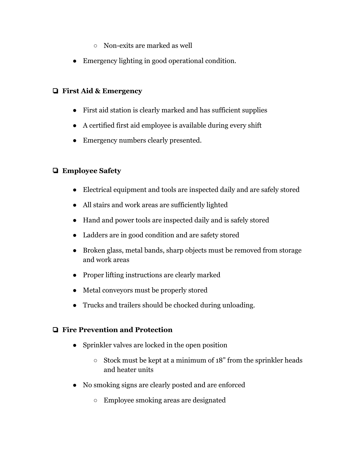- Non-exits are marked as well
- Emergency lighting in good operational condition.

#### ❏ **First Aid & Emergency**

- First aid station is clearly marked and has sufficient supplies
- A certified first aid employee is available during every shift
- Emergency numbers clearly presented.

## ❏ **Employee Safety**

- Electrical equipment and tools are inspected daily and are safely stored
- All stairs and work areas are sufficiently lighted
- Hand and power tools are inspected daily and is safely stored
- Ladders are in good condition and are safety stored
- Broken glass, metal bands, sharp objects must be removed from storage and work areas
- Proper lifting instructions are clearly marked
- Metal conveyors must be properly stored
- Trucks and trailers should be chocked during unloading.

#### ❏ **Fire Prevention and Protection**

- Sprinkler valves are locked in the open position
	- Stock must be kept at a minimum of 18" from the sprinkler heads and heater units
- No smoking signs are clearly posted and are enforced
	- Employee smoking areas are designated